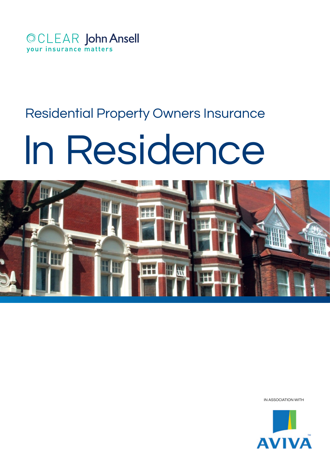

# Residential Property Owners Insurance

# In Residence



IN ASSOCIATION WITH

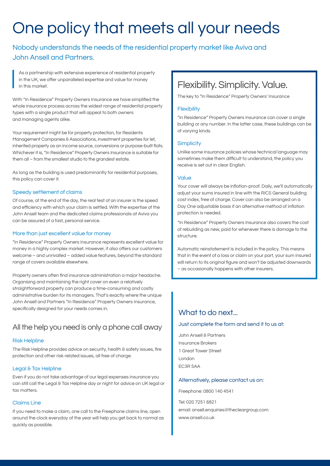# One policy that meets all your needs

### Nobody understands the needs of the residential property market like Aviva and John Ansell and Partners.

As a partnership with extensive experience of residential property in the UK, we offer unparalleled expertise and value for money in this market.

With "In Residence" Property Owners Insurance we have simplified the whole insurance process across the widest range of residential property types with a single product that will appeal to both owners and managing agents alike.

Your requirement might be for property protection, for Residents Management Companies & Associations, investment properties for let, inherited property as an income source, conversions or purpose-built flats. Whichever it is, "In Residence" Property Owners Insurance is suitable for them all – from the smallest studio to the grandest estate.

As long as the building is used predominantly for residential purposes, this policy can cover it.

#### Speedy settlement of claims

Of course, at the end of the day, the real test of an insurer is the speed and efficiency with which your claim is settled. With the expertise of the John Ansell team and the dedicated claims professionals at Aviva you can be assured of a fast, personal service.

#### More than just excellent value for money

"In Residence" Property Owners Insurance represents excellent value for money in a highly complex market. However, it also offers our customers welcome – and unrivalled – added value features, beyond the standard range of covers available elsewhere.

Property owners often find insurance administration a major headache. Organising and maintaining the right cover on even a relatively straightforward property can produce a time-consuming and costly administrative burden for its managers. That's exactly where the unique John Ansell and Partners "In Residence" Property Owners Insurance, specifically designed for your needs comes in.

### All the help you need is only a phone call away

#### Risk Helpline

The Risk Helpline provides advice on security, health & safety issues, fire protection and other risk related issues, all free of charge.

#### Legal & Tax Helpline

Even if you do not take advantage of our legal expenses insurance you can still call the Legal & Tax Helpline day or night for advice on UK legal or tax matters.

#### Claims Line

If you need to make a claim, one call to the Freephone claims line, open around the clock everyday of the year will help you get back to normal as quickly as possible.

## Flexibility. Simplicity. Value.

The key to "In Residence" Property Owners' Insurance

#### **Flexibility**

"In Residence" Property Owners Insurance can cover a single building or any number. In the latter case, these buildings can be of varying kinds.

#### **Simplicity**

Unlike some insurance policies whose technical language may sometimes make them difficult to understand, the policy you receive is set out in clear English.

#### Value

Your cover will always be inflation-proof. Daily, we'll automatically adjust your sums insured in line with the RICS General building cost index, free of charge. Cover can also be arranged on a Day One adjustable basis if an alternative method of inflation protection is needed.

"In Residence" Property Owners Insurance also covers the cost of rebuilding as new, paid for whenever there is damage to the structure.

Automatic reinstatement is included in the policy. This means that in the event of a loss or claim on your part, your sum insured will return to its original figure and won't be adjusted downwards – as occasionally happens with other insurers.

### What to do next.

#### Just complete the form and send it to us at:

John Ansell & Partners Insurance Brokers 1 Great Tower Street London EC3R 5AA

#### Alternatively, please contact us on:

Freephone: 0800 140 4541

Tel: 020 7251 6821 email: ansell.enquiries@thecleargroup.com www.ansell.co.uk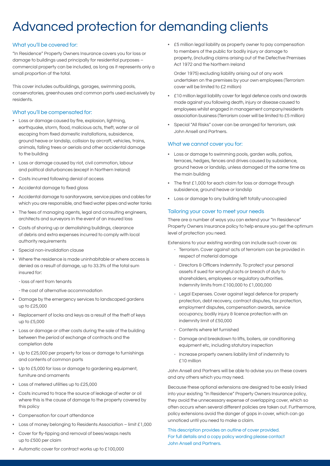# Advanced protection for demanding clients

#### What you'll be covered for:

"In Residence" Property Owners Insurance covers you for loss or damage to buildings used principally for residential purposes – commercial property can be included, as long as it represents only a small proportion of the total.

This cover includes outbuildings, garages, swimming pools, conservatories, greenhouses and common parts used exclusively by residents.

#### What you'll be compensated for:

- Loss or damage caused by fire, explosion, lightning, earthquake, storm, flood, malicious acts, theft, water or oil escaping from fixed domestic installations, subsidence, ground heave or landslip, collision by aircraft, vehicles, trains, animals, falling trees or aerials and other accidental damage to the building
- Loss or damage caused by riot, civil commotion, labour and political disturbances (except in Northern Ireland)
- Costs incurred following denial of access
- Accidental damage to fixed glass
- Accidental damage to sanitaryware, service pipes and cables for which you are responsible, and fixed water pipes and water tanks
- The fees of managing agents, legal and consulting engineers, architects and surveyors in the event of an insured loss
- Costs of shoring up or demolishing buildings, clearance of debris and extra expenses incurred to comply with local authority requirements
- Special non-invalidation clause
- Where the residence is made uninhabitable or where access is denied as a result of damage, up to 33.3% of the total sum insured for:
	- loss of rent from tenants
	- the cost of alternative accommodation
- Damage by the emergency services to landscaped gardens up to £25,000
- Replacement of locks and keys as a result of the theft of keys up to £5,000
- Loss or damage or other costs during the sale of the building between the period of exchange of contracts and the completion date
- Up to £25,000 per property for loss or damage to furnishings and contents of common parts
- Up to £5,000 for loss or damage to gardening equipment, furniture and ornaments
- Loss of metered utilities up to £25,000
- Costs incurred to trace the source of leakage of water or oil where this is the cause of damage to the property covered by this policy
- Compensation for court attendance
- Loss of money belonging to Residents Association limit £1,000
- Cover for fly-tipping and removal of bees/wasps nests up to £500 per claim

• £5 million legal liability as property owner to pay compensation to members of the public for bodily injury or damage to property, (including claims arising out of the Defective Premises Act 1972 and the Northern Ireland

Order 1975) excluding liability arising out of any work undertaken on the premises by your own employees (Terrorism cover will be limited to £2 million)

- £10 million legal liability cover for legal defence costs and awards made against you following death, injury or disease caused to employees whilst engaged in management company/residents association business (Terrorism cover will be limited to £5 million)
- Special "All Risks" cover can be arranged for terrorism, ask John Ansell and Partners.

#### What we cannot cover you for:

- Loss or damage to swimming pools, garden walls, patios, terraces, hedges, fences and drives caused by subsidence, ground heave or landslip, unless damaged at the same time as the main building
- The first £1,000 for each claim for loss or damage through subsidence, ground heave or landslip
- Loss or damage to any building left totally unoccupied

#### Tailoring your cover to meet your needs

There are a number of ways you can extend your "In Residence" Property Owners Insurance policy to help ensure you get the optimum level of protection you need.

Extensions to your existing wording can include such cover as:

- Terrorism. Cover against acts of terrorism can be provided in respect of material damage
- Directors & Officers Indemnity. To protect your personal assets if sued for wrongful acts or breach of duty to shareholders, employees or regulatory authorities. Indemnity limits from £100,000 to £1,000,000
- Legal Expenses. Cover against legal defence for property protection, debt recovery, contract disputes, tax protection, employment disputes, compensation awards, service occupancy, bodily injury & licence protection with an indemnity limit of £50,000
- Contents where let furnished
- Damage and breakdown to lifts, boilers, air conditioning equipment etc, including statutory inspection
- Increase property owners liability limit of indemnity to £10 million

John Ansell and Partners will be able to advise you on these covers and any others which you may need.

Because these optional extensions are designed to be easily linked into your existing "In Residence" Property Owners Insurance policy, they avoid the unnecessary expense of overlapping cover, which so often occurs when several different policies are taken out. Furthermore, policy extensions avoid the danger of gaps in cover, which can go unnoticed until you need to make a claim.

This description provides an outline of cover provided. For full details and a copy policy wording please contact John Ansell and Partners.

• Automatic cover for contract works up to £100,000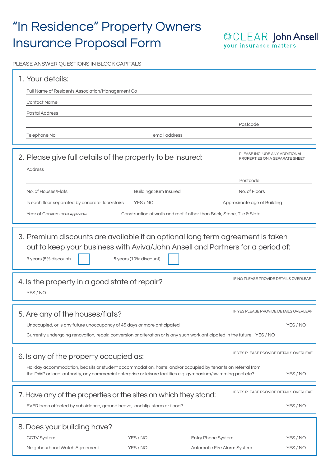# "In Residence" Property Owners Insurance Proposal Form

OCLEAR John Ansell<br>your insurance matters

PLEASE ANSWER QUESTIONS IN BLOCK CAPITALS

| 1. Your details:<br>Full Name of Residents Association/Management Co                                                                                                                                                                                                                                                         |                              |                                                                                                                          |                                                                 |  |
|------------------------------------------------------------------------------------------------------------------------------------------------------------------------------------------------------------------------------------------------------------------------------------------------------------------------------|------------------------------|--------------------------------------------------------------------------------------------------------------------------|-----------------------------------------------------------------|--|
| <b>Contact Name</b>                                                                                                                                                                                                                                                                                                          |                              |                                                                                                                          |                                                                 |  |
| <b>Postal Address</b>                                                                                                                                                                                                                                                                                                        |                              | Postcode                                                                                                                 |                                                                 |  |
| Telephone No                                                                                                                                                                                                                                                                                                                 | email address                |                                                                                                                          |                                                                 |  |
| 2. Please give full details of the property to be insured:<br>Address                                                                                                                                                                                                                                                        |                              |                                                                                                                          | PLEASE INCLUDE ANY ADDITIONAL<br>PROPERTIES ON A SEPARATE SHEET |  |
|                                                                                                                                                                                                                                                                                                                              |                              | Postcode                                                                                                                 |                                                                 |  |
| No. of Houses/Flats                                                                                                                                                                                                                                                                                                          | <b>Buildings Sum Insured</b> | No. of Floors                                                                                                            |                                                                 |  |
| Is each floor separated by concrete floor/stairs                                                                                                                                                                                                                                                                             | YES / NO                     | Approximate age of Building                                                                                              |                                                                 |  |
| Year of Conversion (If Applicable)                                                                                                                                                                                                                                                                                           |                              | Construction of walls and roof if other than Brick, Stone, Tile & Slate                                                  |                                                                 |  |
| 3. Premium discounts are available if an optional long term agreement is taken<br>out to keep your business with Aviva/John Ansell and Partners for a period of:<br>3 years (5% discount)<br>5 years (10% discount)                                                                                                          |                              |                                                                                                                          |                                                                 |  |
| 4. Is the property in a good state of repair?<br>YES / NO                                                                                                                                                                                                                                                                    |                              |                                                                                                                          | IF NO PLEASE PROVIDE DETAILS OVERLEAF                           |  |
| IF YES PLEASE PROVIDE DETAILS OVERLEAF<br>5. Are any of the houses/flats?                                                                                                                                                                                                                                                    |                              |                                                                                                                          |                                                                 |  |
| Unoccupied, or is any future unoccupancy of 45 days or more anticipated<br>YES / NO                                                                                                                                                                                                                                          |                              |                                                                                                                          |                                                                 |  |
|                                                                                                                                                                                                                                                                                                                              |                              | Currently undergoing renovation, repair, conversion or alteration or is any such work anticipated in the future YES / NO |                                                                 |  |
| IF YES PLEASE PROVIDE DETAILS OVERLEAF<br>6. Is any of the property occupied as:<br>Holiday accommodation, bedsits or student accommodation, hostel and/or occupied by tenants on referral from<br>the DWP or local authority, any commercial enterprise or leisure facilities e.g. gymnasium/swimming pool etc?<br>YES / NO |                              |                                                                                                                          |                                                                 |  |
| IF YES PLEASE PROVIDE DETAILS OVERLEAF<br>7. Have any of the properties or the sites on which they stand:<br>EVER been affected by subsidence, ground heave, landslip, storm or flood?<br>YES / NO                                                                                                                           |                              |                                                                                                                          |                                                                 |  |
| 8. Does your building have?                                                                                                                                                                                                                                                                                                  |                              |                                                                                                                          |                                                                 |  |
| <b>CCTV System</b>                                                                                                                                                                                                                                                                                                           | YES / NO                     | Entry Phone System                                                                                                       | YES / NO                                                        |  |
| Neighbourhood Watch Agreement                                                                                                                                                                                                                                                                                                | YES / NO                     | Automatic Fire Alarm System                                                                                              | YES / NO                                                        |  |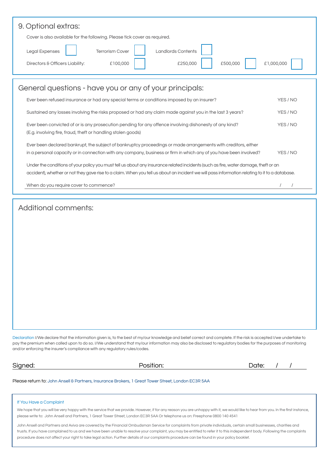| 9. Optional extras:<br>Cover is also available for the following. Please tick cover as required.<br><b>Landlords Contents</b><br>Legal Expenses<br><b>Terrorism Cover</b><br>£500,000<br>Directors & Officers Liability:<br>£100,000<br>£250,000                                      | £1,000,000 |  |  |  |
|---------------------------------------------------------------------------------------------------------------------------------------------------------------------------------------------------------------------------------------------------------------------------------------|------------|--|--|--|
| General questions - have you or any of your principals:                                                                                                                                                                                                                               |            |  |  |  |
| Ever been refused insurance or had any special terms or conditions imposed by an insurer?                                                                                                                                                                                             | YES / NO   |  |  |  |
| Sustained any losses involving the risks proposed or had any claim made against you in the last 3 years?                                                                                                                                                                              | YES / NO   |  |  |  |
| Ever been convicted of or is any prosecution pending for any offence involving dishonesty of any kind?<br>YES / NO<br>(E.g. involving fire, fraud, theft or handling stolen goods)                                                                                                    |            |  |  |  |
| Ever been declared bankrupt, the subject of bankruptcy proceedings or made arrangements with creditors, either<br>in a personal capacity or in connection with any company, business or firm in which any of you have been involved?<br>YES / NO                                      |            |  |  |  |
| Under the conditions of your policy you must tell us about any insurance related incidents (such as fire, water damage, theft or an<br>accident), whether or not they gave rise to a claim. When you tell us about an incident we will pass information relating to it to a database. |            |  |  |  |
| When do you require cover to commence?                                                                                                                                                                                                                                                |            |  |  |  |

### Additional comments:

Declaration I/We declare that the information given is, to the best of my/our knowledge and belief correct and complete. If the risk is accepted I/we undertake to pay the premium when called upon to do so. I/We understand that my/our information may also be disclosed to regulatory bodies for the purposes of monitoring and/or enforcing the insurer's compliance with any regulatory rules/codes.

| r<br>×.<br>C |  |
|--------------|--|
|--------------|--|

| osition |  |  |
|---------|--|--|

| Signed:<br>___ | .<br>Position: | Date: |
|----------------|----------------|-------|
|                |                |       |

Please return to: John Ansell & Partners, Insurance Brokers, 1 Great Tower Street, London EC3R 5AA

#### If You Have a Complaint

We hope that you will be very happy with the service that we provide. However, if for any reason you are unhappy with it, we would like to hear from you. In the first instance, please write to: John Ansell and Partners, 1 Great Tower Street, London EC3R 5AA Or telephone us on: Freephone 0800 140 4541

John Ansell and Partners and Aviva are covered by the Financial Ombudsman Service for complaints from private individuals, certain small businesses, charities and trusts. If you have complained to us and we have been unable to resolve your complaint, you may be entitled to refer it to this independent body. Following the complaints procedure does not affect your right to take legal action. Further details of our complaints procedure can be found in your policy booklet.